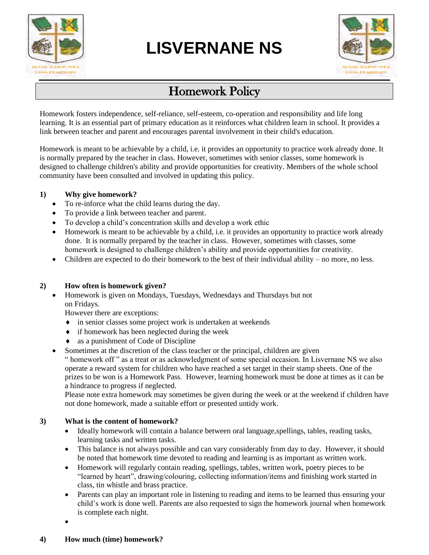

# **LISVERNANE NS**



## Homework Policy

Homework fosters independence, self-reliance, self-esteem, co-operation and responsibility and life long learning. It is an essential part of primary education as it reinforces what children learn in school. It provides a link between teacher and parent and encourages parental involvement in their child's education.

Homework is meant to be achievable by a child, i.e. it provides an opportunity to practice work already done. It is normally prepared by the teacher in class. However, sometimes with senior classes, some homework is designed to challenge children's ability and provide opportunities for creativity. Members of the whole school community have been consulted and involved in updating this policy.

#### **1) Why give homework?**

- To re-inforce what the child learns during the day.
- To provide a link between teacher and parent.
- To develop a child's concentration skills and develop a work ethic
- Homework is meant to be achievable by a child, i.e. it provides an opportunity to practice work already done. It is normally prepared by the teacher in class. However, sometimes with classes, some homework is designed to challenge children's ability and provide opportunities for creativity.
- Children are expected to do their homework to the best of their individual ability no more, no less.

#### **2) How often is homework given?**

• Homework is given on Mondays, Tuesdays, Wednesdays and Thursdays but not on Fridays.

However there are exceptions:

- in senior classes some project work is undertaken at weekends
- if homework has been neglected during the week
- as a punishment of Code of Discipline
- Sometimes at the discretion of the class teacher or the principal, children are given

" homework off " as a treat or as acknowledgment of some special occasion. In Lisvernane NS we also operate a reward system for children who have reached a set target in their stamp sheets. One of the prizes to be won is a Homework Pass. However, learning homework must be done at times as it can be a hindrance to progress if neglected.

Please note extra homework may sometimes be given during the week or at the weekend if children have not done homework, made a suitable effort or presented untidy work.

#### **3) What is the content of homework?**

- Ideally homework will contain a balance between oral language,spellings, tables, reading tasks, learning tasks and written tasks.
- This balance is not always possible and can vary considerably from day to day. However, it should be noted that homework time devoted to reading and learning is as important as written work.
- Homework will regularly contain reading, spellings, tables, written work, poetry pieces to be "learned by heart", drawing/colouring, collecting information/items and finishing work started in class, tin whistle and brass practice.
- Parents can play an important role in listening to reading and items to be learned thus ensuring your child's work is done well. Parents are also requested to sign the homework journal when homework is complete each night.

•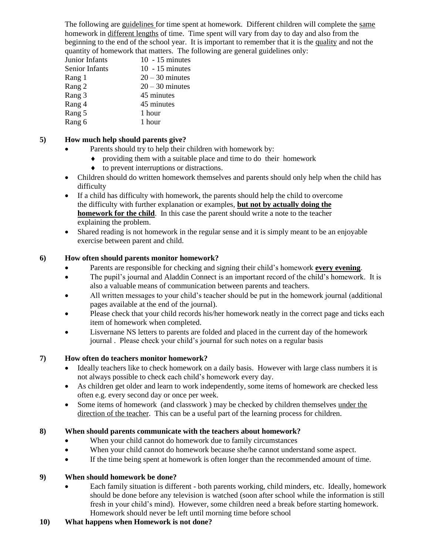The following are guidelines for time spent at homework. Different children will complete the same homework in different lengths of time. Time spent will vary from day to day and also from the beginning to the end of the school year. It is important to remember that it is the quality and not the quantity of homework that matters. The following are general guidelines only:

| Junior Infants | $10 - 15$ minutes |
|----------------|-------------------|
| Senior Infants | $10 - 15$ minutes |
| Rang 1         | $20 - 30$ minutes |
| Rang 2         | $20 - 30$ minutes |
| Rang 3         | 45 minutes        |
| Rang 4         | 45 minutes        |
| Rang 5         | 1 hour            |
| Rang 6         | 1 hour            |
|                |                   |

#### **5) How much help should parents give?**

- Parents should try to help their children with homework by:
	- providing them with a suitable place and time to do their homework
		- to prevent interruptions or distractions.
- Children should do written homework themselves and parents should only help when the child has difficulty
- If a child has difficulty with homework, the parents should help the child to overcome the difficulty with further explanation or examples, **but not by actually doing the homework for the child**. In this case the parent should write a note to the teacher explaining the problem.
- Shared reading is not homework in the regular sense and it is simply meant to be an enjoyable exercise between parent and child.

#### **6) How often should parents monitor homework?**

- Parents are responsible for checking and signing their child's homework **every evening**.
- The pupil's journal and Aladdin Connect is an important record of the child's homework. It is also a valuable means of communication between parents and teachers.
- All written messages to your child's teacher should be put in the homework journal (additional pages available at the end of the journal).
- Please check that your child records his/her homework neatly in the correct page and ticks each item of homework when completed.
- Lisvernane NS letters to parents are folded and placed in the current day of the homework journal . Please check your child's journal for such notes on a regular basis

#### **7) How often do teachers monitor homework?**

- Ideally teachers like to check homework on a daily basis. However with large class numbers it is not always possible to check each child's homework every day.
- As children get older and learn to work independently, some items of homework are checked less often e.g. every second day or once per week.
- Some items of homework (and classwork) may be checked by children themselves under the direction of the teacher. This can be a useful part of the learning process for children.

#### **8) When should parents communicate with the teachers about homework?**

- When your child cannot do homework due to family circumstances
- When your child cannot do homework because she/he cannot understand some aspect.
- If the time being spent at homework is often longer than the recommended amount of time.

#### **9) When should homework be done?**

- Each family situation is different both parents working, child minders, etc. Ideally, homework should be done before any television is watched (soon after school while the information is still fresh in your child's mind). However, some children need a break before starting homework. Homework should never be left until morning time before school
- **10) What happens when Homework is not done?**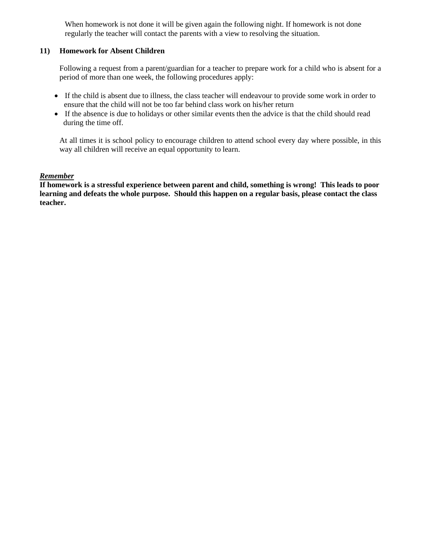When homework is not done it will be given again the following night. If homework is not done regularly the teacher will contact the parents with a view to resolving the situation.

#### **11) Homework for Absent Children**

Following a request from a parent/guardian for a teacher to prepare work for a child who is absent for a period of more than one week, the following procedures apply:

- If the child is absent due to illness, the class teacher will endeavour to provide some work in order to ensure that the child will not be too far behind class work on his/her return
- If the absence is due to holidays or other similar events then the advice is that the child should read during the time off.

At all times it is school policy to encourage children to attend school every day where possible, in this way all children will receive an equal opportunity to learn.

#### *Remember*

**If homework is a stressful experience between parent and child, something is wrong! This leads to poor learning and defeats the whole purpose. Should this happen on a regular basis, please contact the class teacher.**